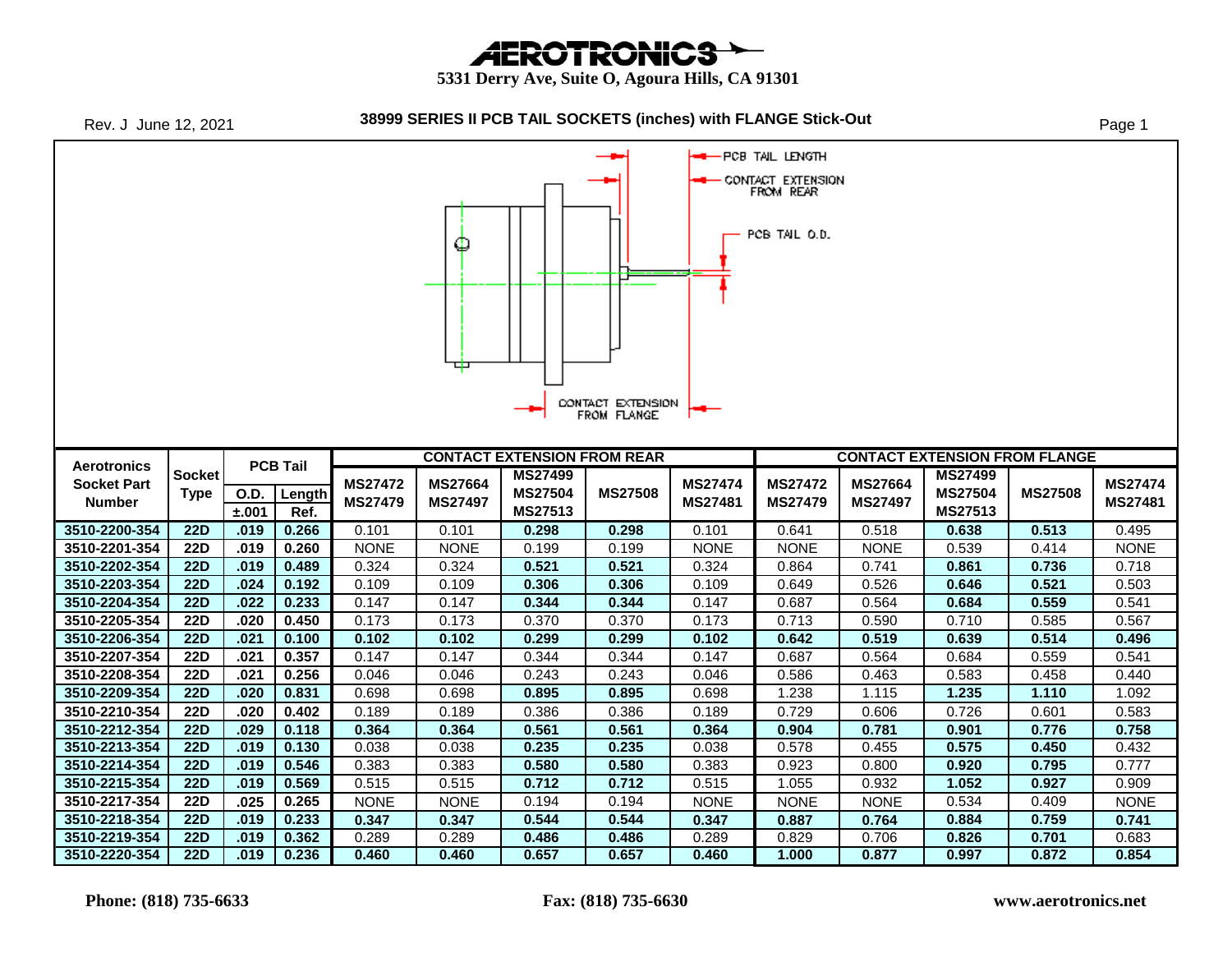**AEROTRONICS** 

 **5331 Derry Ave, Suite O, Agoura Hills, CA 91301**

| Rev. J June 12, 2021                                      |                                                                            |               |                                   |                                  |                    | 38999 SERIES II PCB TAIL SOCKETS (inches) with FLANGE Stick-Out |                   |                           |                                                                    |                                  |                                             |                | Page 1                    |
|-----------------------------------------------------------|----------------------------------------------------------------------------|---------------|-----------------------------------|----------------------------------|--------------------|-----------------------------------------------------------------|-------------------|---------------------------|--------------------------------------------------------------------|----------------------------------|---------------------------------------------|----------------|---------------------------|
|                                                           |                                                                            |               |                                   |                                  | Ф<br>ᅞ             |                                                                 | CONTACT EXTENSION |                           | PCB TAIL LENGTH<br>CONTACT EXTENSION<br>FROM REAR<br>PCB TAIL O.D. |                                  |                                             |                |                           |
|                                                           | <b>CONTACT EXTENSION FROM FLANGE</b><br><b>CONTACT EXTENSION FROM REAR</b> |               |                                   |                                  |                    |                                                                 |                   |                           |                                                                    |                                  |                                             |                |                           |
| <b>Aerotronics</b><br><b>Socket Part</b><br><b>Number</b> | <b>Socket</b><br><b>Type</b>                                               | 0.D.<br>±.001 | <b>PCB Tail</b><br>Length<br>Ref. | <b>MS27472</b><br><b>MS27479</b> | MS27664<br>MS27497 | <b>MS27499</b><br><b>MS27504</b><br>MS27513                     | <b>MS27508</b>    | <b>MS27474</b><br>MS27481 | <b>MS27472</b><br>MS27479                                          | <b>MS27664</b><br><b>MS27497</b> | <b>MS27499</b><br><b>MS27504</b><br>MS27513 | <b>MS27508</b> | <b>MS27474</b><br>MS27481 |
| 3510-2200-354                                             | <b>22D</b>                                                                 | .019          | 0.266                             | 0.101                            | 0.101              | 0.298                                                           | 0.298             | 0.101                     | 0.641                                                              | 0.518                            | 0.638                                       | 0.513          | 0.495                     |
| 3510-2201-354                                             | 22D                                                                        | .019          | 0.260                             | <b>NONE</b>                      | <b>NONE</b>        | 0.199                                                           | 0.199             | <b>NONE</b>               | <b>NONE</b>                                                        | <b>NONE</b>                      | 0.539                                       | 0.414          | <b>NONE</b>               |
| 3510-2202-354                                             | <b>22D</b>                                                                 | .019          | 0.489                             | 0.324                            | 0.324              | 0.521                                                           | 0.521             | 0.324                     | 0.864                                                              | 0.741                            | 0.861                                       | 0.736          | 0.718                     |
| 3510-2203-354                                             | <b>22D</b>                                                                 | .024          | 0.192                             | 0.109                            | 0.109              | 0.306                                                           | 0.306             | 0.109                     | 0.649                                                              | 0.526                            | 0.646                                       | 0.521          | 0.503                     |
| 3510-2204-354                                             | <b>22D</b>                                                                 | .022          | 0.233                             | 0.147                            | 0.147              | 0.344                                                           | 0.344             | 0.147                     | 0.687                                                              | 0.564                            | 0.684                                       | 0.559          | 0.541                     |
| 3510-2205-354                                             | 22D                                                                        | .020          | 0.450                             | 0.173                            | 0.173              | 0.370                                                           | 0.370             | 0.173                     | 0.713                                                              | 0.590                            | 0.710                                       | 0.585          | 0.567                     |
| 3510-2206-354                                             | <b>22D</b>                                                                 | .021          | 0.100                             | 0.102                            | 0.102              | 0.299                                                           | 0.299             | 0.102                     | 0.642                                                              | 0.519                            | 0.639                                       | 0.514          | 0.496                     |
| 3510-2207-354                                             | <b>22D</b>                                                                 | .021          | 0.357                             | 0.147                            | 0.147              | 0.344                                                           | 0.344             | 0.147                     | 0.687                                                              | 0.564                            | 0.684                                       | 0.559          | 0.541                     |
| 3510-2208-354                                             | <b>22D</b>                                                                 | .021          | 0.256                             | 0.046                            | 0.046              | 0.243                                                           | 0.243             | 0.046                     | 0.586                                                              | 0.463                            | 0.583                                       | 0.458          | 0.440                     |
| 3510-2209-354                                             | <b>22D</b>                                                                 | .020          | 0.831                             | 0.698                            | 0.698              | 0.895                                                           | 0.895             | 0.698                     | 1.238                                                              | 1.115                            | 1.235                                       | 1.110          | 1.092                     |
| 3510-2210-354                                             | 22D                                                                        | .020          | 0.402                             | 0.189                            | 0.189              | 0.386                                                           | 0.386             | 0.189                     | 0.729                                                              | 0.606                            | 0.726                                       | 0.601          | 0.583                     |
| 3510-2212-354                                             | <b>22D</b>                                                                 | .029          | 0.118                             | 0.364                            | 0.364              | 0.561                                                           | 0.561             | 0.364                     | 0.904                                                              | 0.781                            | 0.901                                       | 0.776          | 0.758                     |
| 3510-2213-354                                             | <b>22D</b>                                                                 | .019          | 0.130                             | 0.038                            | 0.038              | 0.235                                                           | 0.235             | 0.038                     | 0.578                                                              | 0.455                            | 0.575                                       | 0.450          | 0.432                     |
| 3510-2214-354                                             | <b>22D</b>                                                                 | .019          | 0.546                             | 0.383                            | 0.383              | 0.580                                                           | 0.580             | 0.383                     | 0.923                                                              | 0.800                            | 0.920                                       | 0.795          | 0.777                     |
| 3510-2215-354                                             | <b>22D</b>                                                                 | .019          | 0.569                             | 0.515                            | 0.515              | 0.712                                                           | 0.712             | 0.515                     | 1.055                                                              | 0.932                            | 1.052                                       | 0.927          | 0.909                     |
| 3510-2217-354                                             | <b>22D</b>                                                                 | .025          | 0.265                             | <b>NONE</b>                      | <b>NONE</b>        | 0.194                                                           | 0.194             | <b>NONE</b>               | <b>NONE</b>                                                        | <b>NONE</b>                      | 0.534                                       | 0.409          | <b>NONE</b>               |
| 3510-2218-354                                             | <b>22D</b>                                                                 | .019          | 0.233                             | 0.347                            | 0.347              | 0.544                                                           | 0.544             | 0.347                     | 0.887                                                              | 0.764                            | 0.884                                       | 0.759          | 0.741                     |
| 3510-2219-354                                             | <b>22D</b>                                                                 | .019          | 0.362                             | 0.289                            | 0.289              | 0.486                                                           | 0.486             | 0.289                     | 0.829                                                              | 0.706                            | 0.826                                       | 0.701          | 0.683                     |
| 3510-2220-354                                             | <b>22D</b>                                                                 | .019          | 0.236                             | 0.460                            | 0.460              | 0.657                                                           | 0.657             | 0.460                     | 1.000                                                              | 0.877                            | 0.997                                       | 0.872          | 0.854                     |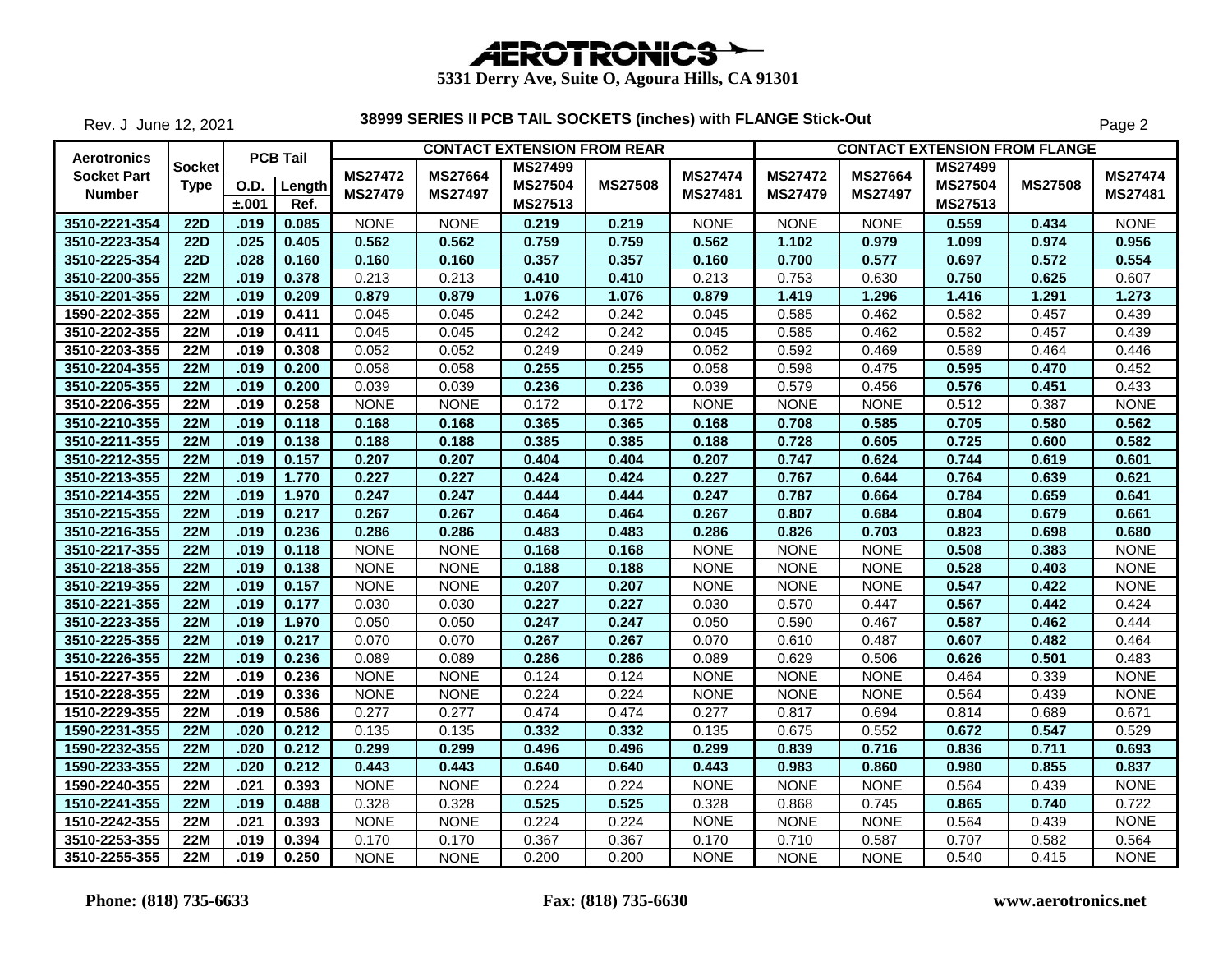| $A$ EROTRONICS $\sim$ |
|-----------------------|

Rev. J June 12, 2021

| <b>PCB Tail</b><br>Aerotronics |                  |                      |                |                |                | <b>CONTACT EXTENSION FROM REAR</b> |                |                | <b>CONTACT EXTENSION FROM FLANGE</b> |                |                           |                |                |  |                |
|--------------------------------|------------------|----------------------|----------------|----------------|----------------|------------------------------------|----------------|----------------|--------------------------------------|----------------|---------------------------|----------------|----------------|--|----------------|
| <b>Socket Part</b>             | Socket           |                      |                |                |                | <b>MS27472</b>                     | <b>MS27664</b> | <b>MS27499</b> |                                      | <b>MS27474</b> | <b>MS27472</b>            | MS27664        | <b>MS27499</b> |  | <b>MS27474</b> |
| <b>Number</b>                  | <b>Type</b>      | <b>O.D.</b><br>±.001 | Length<br>Ref. | <b>MS27479</b> | <b>MS27497</b> | <b>MS27504</b><br>MS27513          | <b>MS27508</b> | <b>MS27481</b> | <b>MS27479</b>                       | <b>MS27497</b> | <b>MS27504</b><br>MS27513 | <b>MS27508</b> | MS27481        |  |                |
| 3510-2221-354                  | <b>22D</b>       | .019                 | 0.085          | <b>NONE</b>    | <b>NONE</b>    | 0.219                              | 0.219          | <b>NONE</b>    | <b>NONE</b>                          | <b>NONE</b>    | 0.559                     | 0.434          | <b>NONE</b>    |  |                |
| 3510-2223-354                  | <b>22D</b>       | .025                 | 0.405          | 0.562          | 0.562          | 0.759                              | 0.759          | 0.562          | 1.102                                | 0.979          | 1.099                     | 0.974          | 0.956          |  |                |
| 3510-2225-354                  | $\overline{22D}$ | .028                 | 0.160          | 0.160          | 0.160          | 0.357                              | 0.357          | 0.160          | 0.700                                | 0.577          | 0.697                     | 0.572          | 0.554          |  |                |
| 3510-2200-355                  | <b>22M</b>       | .019                 | 0.378          | 0.213          | 0.213          | 0.410                              | 0.410          | 0.213          | 0.753                                | 0.630          | 0.750                     | 0.625          | 0.607          |  |                |
| 3510-2201-355                  | <b>22M</b>       | .019                 | 0.209          | 0.879          | 0.879          | 1.076                              | 1.076          | 0.879          | 1.419                                | 1.296          | 1.416                     | 1.291          | 1.273          |  |                |
| 1590-2202-355                  | <b>22M</b>       | .019                 | 0.411          | 0.045          | 0.045          | 0.242                              | 0.242          | 0.045          | 0.585                                | 0.462          | 0.582                     | 0.457          | 0.439          |  |                |
| 3510-2202-355                  | <b>22M</b>       | .019                 | 0.411          | 0.045          | 0.045          | 0.242                              | 0.242          | 0.045          | 0.585                                | 0.462          | 0.582                     | 0.457          | 0.439          |  |                |
| 3510-2203-355                  | 22M              | .019                 | 0.308          | 0.052          | 0.052          | 0.249                              | 0.249          | 0.052          | 0.592                                | 0.469          | 0.589                     | 0.464          | 0.446          |  |                |
| 3510-2204-355                  | <b>22M</b>       | .019                 | 0.200          | 0.058          | 0.058          | 0.255                              | 0.255          | 0.058          | 0.598                                | 0.475          | 0.595                     | 0.470          | 0.452          |  |                |
| 3510-2205-355                  | <b>22M</b>       | .019                 | 0.200          | 0.039          | 0.039          | 0.236                              | 0.236          | 0.039          | 0.579                                | 0.456          | 0.576                     | 0.451          | 0.433          |  |                |
| 3510-2206-355                  | <b>22M</b>       | .019                 | 0.258          | <b>NONE</b>    | <b>NONE</b>    | 0.172                              | 0.172          | <b>NONE</b>    | <b>NONE</b>                          | <b>NONE</b>    | 0.512                     | 0.387          | <b>NONE</b>    |  |                |
| 3510-2210-355                  | <b>22M</b>       | .019                 | 0.118          | 0.168          | 0.168          | 0.365                              | 0.365          | 0.168          | 0.708                                | 0.585          | 0.705                     | 0.580          | 0.562          |  |                |
| 3510-2211-355                  | <b>22M</b>       | .019                 | 0.138          | 0.188          | 0.188          | 0.385                              | 0.385          | 0.188          | 0.728                                | 0.605          | 0.725                     | 0.600          | 0.582          |  |                |
| 3510-2212-355                  | <b>22M</b>       | .019                 | 0.157          | 0.207          | 0.207          | 0.404                              | 0.404          | 0.207          | 0.747                                | 0.624          | 0.744                     | 0.619          | 0.601          |  |                |
| 3510-2213-355                  | 22M              | .019                 | 1.770          | 0.227          | 0.227          | 0.424                              | 0.424          | 0.227          | 0.767                                | 0.644          | 0.764                     | 0.639          | 0.621          |  |                |
| 3510-2214-355                  | <b>22M</b>       | .019                 | 1.970          | 0.247          | 0.247          | 0.444                              | 0.444          | 0.247          | 0.787                                | 0.664          | 0.784                     | 0.659          | 0.641          |  |                |
| 3510-2215-355                  | 22M              | .019                 | 0.217          | 0.267          | 0.267          | 0.464                              | 0.464          | 0.267          | 0.807                                | 0.684          | 0.804                     | 0.679          | 0.661          |  |                |
| 3510-2216-355                  | 22M              | .019                 | 0.236          | 0.286          | 0.286          | 0.483                              | 0.483          | 0.286          | 0.826                                | 0.703          | 0.823                     | 0.698          | 0.680          |  |                |
| 3510-2217-355                  | <b>22M</b>       | .019                 | 0.118          | <b>NONE</b>    | <b>NONE</b>    | 0.168                              | 0.168          | <b>NONE</b>    | <b>NONE</b>                          | <b>NONE</b>    | 0.508                     | 0.383          | <b>NONE</b>    |  |                |
| 3510-2218-355                  | <b>22M</b>       | .019                 | 0.138          | <b>NONE</b>    | <b>NONE</b>    | 0.188                              | 0.188          | <b>NONE</b>    | <b>NONE</b>                          | <b>NONE</b>    | 0.528                     | 0.403          | <b>NONE</b>    |  |                |
| 3510-2219-355                  | 22M              | .019                 | 0.157          | <b>NONE</b>    | <b>NONE</b>    | 0.207                              | 0.207          | <b>NONE</b>    | <b>NONE</b>                          | <b>NONE</b>    | 0.547                     | 0.422          | <b>NONE</b>    |  |                |
| 3510-2221-355                  | <b>22M</b>       | .019                 | 0.177          | 0.030          | 0.030          | 0.227                              | 0.227          | 0.030          | 0.570                                | 0.447          | 0.567                     | 0.442          | 0.424          |  |                |
| 3510-2223-355                  | 22M              | .019                 | 1.970          | 0.050          | 0.050          | 0.247                              | 0.247          | 0.050          | 0.590                                | 0.467          | 0.587                     | 0.462          | 0.444          |  |                |
| 3510-2225-355                  | <b>22M</b>       | .019                 | 0.217          | 0.070          | 0.070          | 0.267                              | 0.267          | 0.070          | 0.610                                | 0.487          | 0.607                     | 0.482          | 0.464          |  |                |
| 3510-2226-355                  | <b>22M</b>       | .019                 | 0.236          | 0.089          | 0.089          | 0.286                              | 0.286          | 0.089          | 0.629                                | 0.506          | 0.626                     | 0.501          | 0.483          |  |                |
| 1510-2227-355                  | <b>22M</b>       | .019                 | 0.236          | <b>NONE</b>    | <b>NONE</b>    | 0.124                              | 0.124          | <b>NONE</b>    | <b>NONE</b>                          | <b>NONE</b>    | 0.464                     | 0.339          | <b>NONE</b>    |  |                |
| 1510-2228-355                  | <b>22M</b>       | .019                 | 0.336          | <b>NONE</b>    | <b>NONE</b>    | 0.224                              | 0.224          | <b>NONE</b>    | <b>NONE</b>                          | <b>NONE</b>    | 0.564                     | 0.439          | <b>NONE</b>    |  |                |
| 1510-2229-355                  | 22M              | .019                 | 0.586          | 0.277          | 0.277          | 0.474                              | 0.474          | 0.277          | 0.817                                | 0.694          | 0.814                     | 0.689          | 0.671          |  |                |
| 1590-2231-355                  | <b>22M</b>       | .020                 | 0.212          | 0.135          | 0.135          | 0.332                              | 0.332          | 0.135          | 0.675                                | 0.552          | 0.672                     | 0.547          | 0.529          |  |                |
| 1590-2232-355                  | <b>22M</b>       | .020                 | 0.212          | 0.299          | 0.299          | 0.496                              | 0.496          | 0.299          | 0.839                                | 0.716          | 0.836                     | 0.711          | 0.693          |  |                |
| 1590-2233-355                  | <b>22M</b>       | .020                 | 0.212          | 0.443          | 0.443          | 0.640                              | 0.640          | 0.443          | 0.983                                | 0.860          | 0.980                     | 0.855          | 0.837          |  |                |
| 1590-2240-355                  | <b>22M</b>       | .021                 | 0.393          | <b>NONE</b>    | <b>NONE</b>    | 0.224                              | 0.224          | <b>NONE</b>    | <b>NONE</b>                          | <b>NONE</b>    | 0.564                     | 0.439          | <b>NONE</b>    |  |                |
| 1510-2241-355                  | <b>22M</b>       | .019                 | 0.488          | 0.328          | 0.328          | 0.525                              | 0.525          | 0.328          | 0.868                                | 0.745          | 0.865                     | 0.740          | 0.722          |  |                |
| 1510-2242-355                  | <b>22M</b>       | .021                 | 0.393          | <b>NONE</b>    | <b>NONE</b>    | 0.224                              | 0.224          | <b>NONE</b>    | <b>NONE</b>                          | <b>NONE</b>    | 0.564                     | 0.439          | <b>NONE</b>    |  |                |
| 3510-2253-355                  | <b>22M</b>       | .019                 | 0.394          | 0.170          | 0.170          | 0.367                              | 0.367          | 0.170          | 0.710                                | 0.587          | 0.707                     | 0.582          | 0.564          |  |                |
| 3510-2255-355                  | <b>22M</b>       | .019                 | 0.250          | <b>NONE</b>    | <b>NONE</b>    | 0.200                              | 0.200          | <b>NONE</b>    | <b>NONE</b>                          | <b>NONE</b>    | 0.540                     | 0.415          | <b>NONE</b>    |  |                |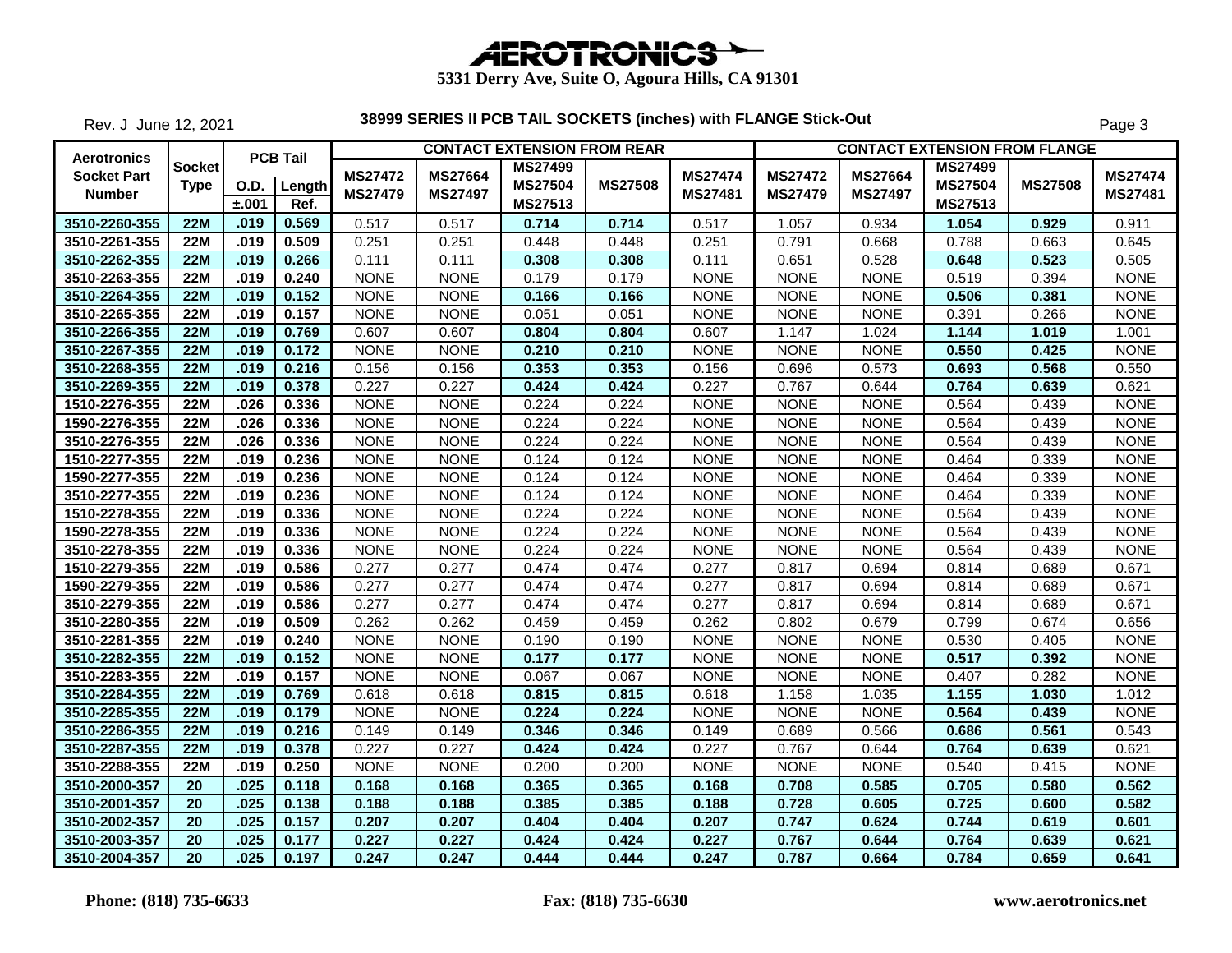| $A$ EROTRONICS $\sim$ |
|-----------------------|

Rev. J June 12, 2021

| <b>PCB Tail</b>                          |             |                      |                |                |                | <b>CONTACT EXTENSION FROM REAR</b> |                |                | <b>CONTACT EXTENSION FROM FLANGE</b> |                |                           |                |             |
|------------------------------------------|-------------|----------------------|----------------|----------------|----------------|------------------------------------|----------------|----------------|--------------------------------------|----------------|---------------------------|----------------|-------------|
| <b>Aerotronics</b><br><b>Socket Part</b> | Socket      |                      | <b>MS27472</b> | <b>MS27664</b> | <b>MS27499</b> |                                    | <b>MS27474</b> | <b>MS27472</b> | <b>MS27664</b>                       | <b>MS27499</b> |                           | <b>MS27474</b> |             |
| <b>Number</b>                            | <b>Type</b> | <b>O.D.</b><br>±.001 | Length<br>Ref. | <b>MS27479</b> | <b>MS27497</b> | <b>MS27504</b><br>MS27513          | <b>MS27508</b> | MS27481        | <b>MS27479</b>                       | <b>MS27497</b> | <b>MS27504</b><br>MS27513 | <b>MS27508</b> | MS27481     |
| 3510-2260-355                            | <b>22M</b>  | .019                 | 0.569          | 0.517          | 0.517          | 0.714                              | 0.714          | 0.517          | 1.057                                | 0.934          | 1.054                     | 0.929          | 0.911       |
| 3510-2261-355                            | <b>22M</b>  | .019                 | 0.509          | 0.251          | 0.251          | 0.448                              | 0.448          | 0.251          | 0.791                                | 0.668          | 0.788                     | 0.663          | 0.645       |
| 3510-2262-355                            | <b>22M</b>  | .019                 | 0.266          | 0.111          | 0.111          | 0.308                              | 0.308          | 0.111          | 0.651                                | 0.528          | 0.648                     | 0.523          | 0.505       |
| 3510-2263-355                            | <b>22M</b>  | .019                 | 0.240          | <b>NONE</b>    | <b>NONE</b>    | 0.179                              | 0.179          | <b>NONE</b>    | <b>NONE</b>                          | <b>NONE</b>    | 0.519                     | 0.394          | <b>NONE</b> |
| 3510-2264-355                            | <b>22M</b>  | .019                 | 0.152          | <b>NONE</b>    | <b>NONE</b>    | 0.166                              | 0.166          | <b>NONE</b>    | <b>NONE</b>                          | <b>NONE</b>    | 0.506                     | 0.381          | <b>NONE</b> |
| 3510-2265-355                            | <b>22M</b>  | .019                 | 0.157          | <b>NONE</b>    | <b>NONE</b>    | 0.051                              | 0.051          | <b>NONE</b>    | <b>NONE</b>                          | <b>NONE</b>    | 0.391                     | 0.266          | <b>NONE</b> |
| 3510-2266-355                            | <b>22M</b>  | .019                 | 0.769          | 0.607          | 0.607          | 0.804                              | 0.804          | 0.607          | 1.147                                | 1.024          | 1.144                     | 1.019          | 1.001       |
| 3510-2267-355                            | <b>22M</b>  | .019                 | 0.172          | <b>NONE</b>    | <b>NONE</b>    | 0.210                              | 0.210          | <b>NONE</b>    | <b>NONE</b>                          | <b>NONE</b>    | 0.550                     | 0.425          | <b>NONE</b> |
| 3510-2268-355                            | 22M         | .019                 | 0.216          | 0.156          | 0.156          | 0.353                              | 0.353          | 0.156          | 0.696                                | 0.573          | 0.693                     | 0.568          | 0.550       |
| 3510-2269-355                            | 22M         | .019                 | 0.378          | 0.227          | 0.227          | 0.424                              | 0.424          | 0.227          | 0.767                                | 0.644          | 0.764                     | 0.639          | 0.621       |
| 1510-2276-355                            | <b>22M</b>  | .026                 | 0.336          | <b>NONE</b>    | <b>NONE</b>    | 0.224                              | 0.224          | <b>NONE</b>    | <b>NONE</b>                          | <b>NONE</b>    | 0.564                     | 0.439          | <b>NONE</b> |
| 1590-2276-355                            | <b>22M</b>  | .026                 | 0.336          | <b>NONE</b>    | <b>NONE</b>    | 0.224                              | 0.224          | <b>NONE</b>    | <b>NONE</b>                          | <b>NONE</b>    | 0.564                     | 0.439          | <b>NONE</b> |
| 3510-2276-355                            | <b>22M</b>  | .026                 | 0.336          | <b>NONE</b>    | <b>NONE</b>    | 0.224                              | 0.224          | <b>NONE</b>    | <b>NONE</b>                          | <b>NONE</b>    | 0.564                     | 0.439          | <b>NONE</b> |
| 1510-2277-355                            | <b>22M</b>  | .019                 | 0.236          | <b>NONE</b>    | <b>NONE</b>    | 0.124                              | 0.124          | <b>NONE</b>    | <b>NONE</b>                          | <b>NONE</b>    | 0.464                     | 0.339          | <b>NONE</b> |
| 1590-2277-355                            | <b>22M</b>  | .019                 | 0.236          | <b>NONE</b>    | <b>NONE</b>    | 0.124                              | 0.124          | <b>NONE</b>    | <b>NONE</b>                          | <b>NONE</b>    | 0.464                     | 0.339          | <b>NONE</b> |
| 3510-2277-355                            | 22M         | .019                 | 0.236          | <b>NONE</b>    | <b>NONE</b>    | 0.124                              | 0.124          | <b>NONE</b>    | <b>NONE</b>                          | <b>NONE</b>    | 0.464                     | 0.339          | <b>NONE</b> |
| 1510-2278-355                            | <b>22M</b>  | .019                 | 0.336          | <b>NONE</b>    | <b>NONE</b>    | 0.224                              | 0.224          | <b>NONE</b>    | <b>NONE</b>                          | <b>NONE</b>    | 0.564                     | 0.439          | <b>NONE</b> |
| 1590-2278-355                            | <b>22M</b>  | .019                 | 0.336          | <b>NONE</b>    | <b>NONE</b>    | 0.224                              | 0.224          | <b>NONE</b>    | <b>NONE</b>                          | <b>NONE</b>    | 0.564                     | 0.439          | <b>NONE</b> |
| 3510-2278-355                            | <b>22M</b>  | .019                 | 0.336          | <b>NONE</b>    | <b>NONE</b>    | 0.224                              | 0.224          | <b>NONE</b>    | <b>NONE</b>                          | <b>NONE</b>    | 0.564                     | 0.439          | <b>NONE</b> |
| 1510-2279-355                            | <b>22M</b>  | .019                 | 0.586          | 0.277          | 0.277          | 0.474                              | 0.474          | 0.277          | 0.817                                | 0.694          | 0.814                     | 0.689          | 0.671       |
| 1590-2279-355                            | <b>22M</b>  | .019                 | 0.586          | 0.277          | 0.277          | 0.474                              | 0.474          | 0.277          | 0.817                                | 0.694          | 0.814                     | 0.689          | 0.671       |
| 3510-2279-355                            | <b>22M</b>  | .019                 | 0.586          | 0.277          | 0.277          | 0.474                              | 0.474          | 0.277          | 0.817                                | 0.694          | 0.814                     | 0.689          | 0.671       |
| 3510-2280-355                            | <b>22M</b>  | .019                 | 0.509          | 0.262          | 0.262          | 0.459                              | 0.459          | 0.262          | 0.802                                | 0.679          | 0.799                     | 0.674          | 0.656       |
| 3510-2281-355                            | <b>22M</b>  | .019                 | 0.240          | <b>NONE</b>    | <b>NONE</b>    | 0.190                              | 0.190          | <b>NONE</b>    | <b>NONE</b>                          | <b>NONE</b>    | 0.530                     | 0.405          | <b>NONE</b> |
| 3510-2282-355                            | <b>22M</b>  | .019                 | 0.152          | <b>NONE</b>    | <b>NONE</b>    | 0.177                              | 0.177          | <b>NONE</b>    | <b>NONE</b>                          | <b>NONE</b>    | 0.517                     | 0.392          | <b>NONE</b> |
| 3510-2283-355                            | <b>22M</b>  | .019                 | 0.157          | <b>NONE</b>    | <b>NONE</b>    | 0.067                              | 0.067          | <b>NONE</b>    | <b>NONE</b>                          | <b>NONE</b>    | 0.407                     | 0.282          | <b>NONE</b> |
| 3510-2284-355                            | 22M         | .019                 | 0.769          | 0.618          | 0.618          | 0.815                              | 0.815          | 0.618          | 1.158                                | 1.035          | 1.155                     | 1.030          | 1.012       |
| 3510-2285-355                            | <b>22M</b>  | .019                 | 0.179          | <b>NONE</b>    | <b>NONE</b>    | 0.224                              | 0.224          | <b>NONE</b>    | <b>NONE</b>                          | <b>NONE</b>    | 0.564                     | 0.439          | <b>NONE</b> |
| 3510-2286-355                            | <b>22M</b>  | .019                 | 0.216          | 0.149          | 0.149          | 0.346                              | 0.346          | 0.149          | 0.689                                | 0.566          | 0.686                     | 0.561          | 0.543       |
| 3510-2287-355                            | <b>22M</b>  | .019                 | 0.378          | 0.227          | 0.227          | 0.424                              | 0.424          | 0.227          | 0.767                                | 0.644          | 0.764                     | 0.639          | 0.621       |
| 3510-2288-355                            | <b>22M</b>  | .019                 | 0.250          | <b>NONE</b>    | <b>NONE</b>    | 0.200                              | 0.200          | <b>NONE</b>    | <b>NONE</b>                          | <b>NONE</b>    | 0.540                     | 0.415          | <b>NONE</b> |
| 3510-2000-357                            | 20          | .025                 | 0.118          | 0.168          | 0.168          | 0.365                              | 0.365          | 0.168          | 0.708                                | 0.585          | 0.705                     | 0.580          | 0.562       |
| 3510-2001-357                            | 20          | .025                 | 0.138          | 0.188          | 0.188          | 0.385                              | 0.385          | 0.188          | 0.728                                | 0.605          | 0.725                     | 0.600          | 0.582       |
| 3510-2002-357                            | 20          | .025                 | 0.157          | 0.207          | 0.207          | 0.404                              | 0.404          | 0.207          | 0.747                                | 0.624          | 0.744                     | 0.619          | 0.601       |
| 3510-2003-357                            | 20          | .025                 | 0.177          | 0.227          | 0.227          | 0.424                              | 0.424          | 0.227          | 0.767                                | 0.644          | 0.764                     | 0.639          | 0.621       |
| 3510-2004-357                            | 20          | .025                 | 0.197          | 0.247          | 0.247          | 0.444                              | 0.444          | 0.247          | 0.787                                | 0.664          | 0.784                     | 0.659          | 0.641       |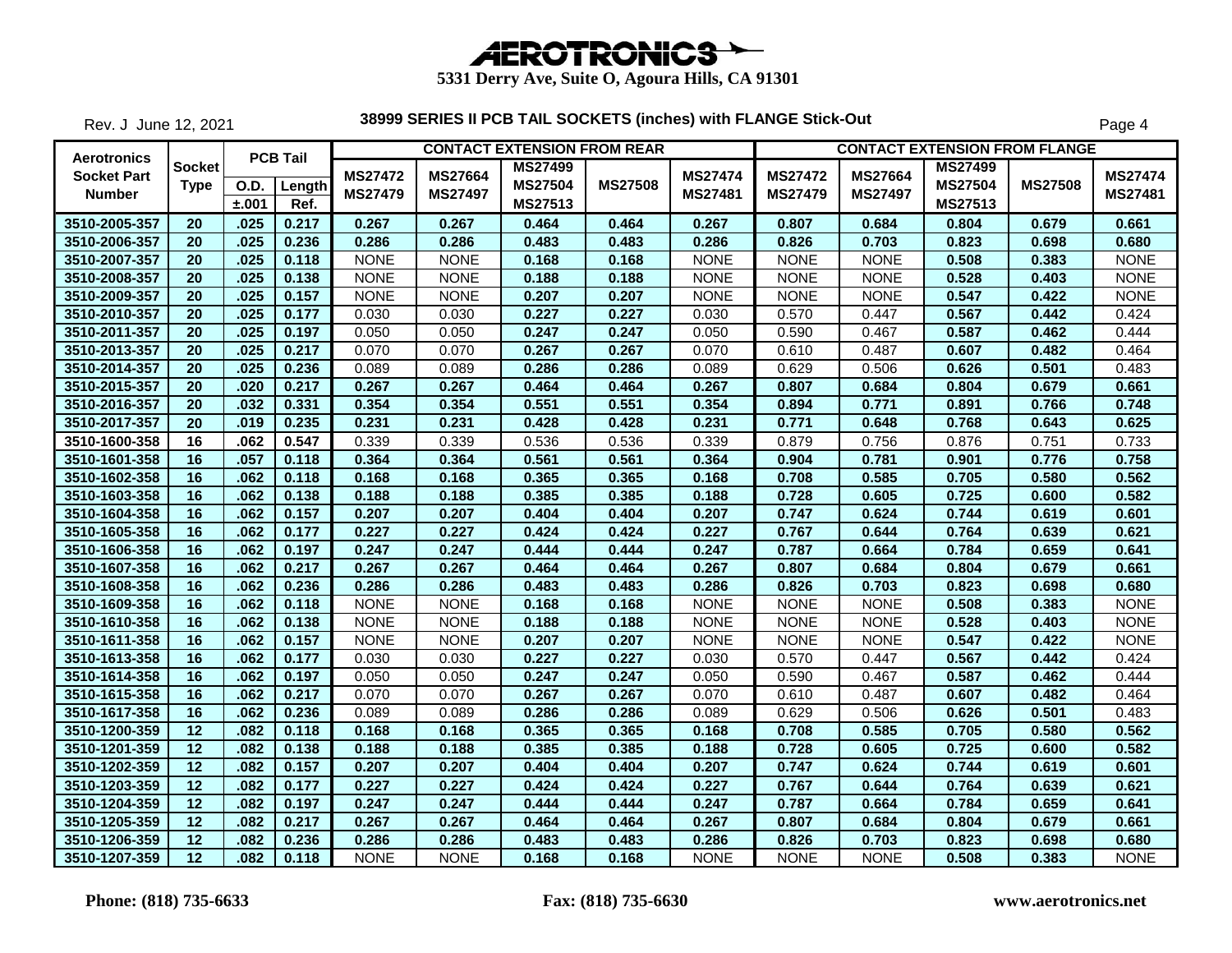| $A$ EROTRONICS $\sim$ |
|-----------------------|

Rev. J June 12, 2021

|                                          | <b>PCB Tail</b>       |       |        |                |                | <b>CONTACT EXTENSION FROM REAR</b> |                |                | <b>CONTACT EXTENSION FROM FLANGE</b> |                |                                  |                |                |
|------------------------------------------|-----------------------|-------|--------|----------------|----------------|------------------------------------|----------------|----------------|--------------------------------------|----------------|----------------------------------|----------------|----------------|
| <b>Aerotronics</b><br><b>Socket Part</b> | Socket<br><b>Type</b> | O.D.  | Length | <b>MS27472</b> | <b>MS27664</b> | <b>MS27499</b><br><b>MS27504</b>   | <b>MS27508</b> | <b>MS27474</b> | <b>MS27472</b>                       | <b>MS27664</b> | <b>MS27499</b><br><b>MS27504</b> | <b>MS27508</b> | <b>MS27474</b> |
| <b>Number</b>                            |                       | ±.001 | Ref.   | <b>MS27479</b> | MS27497        | MS27513                            |                | MS27481        | <b>MS27479</b>                       | <b>MS27497</b> | MS27513                          |                | MS27481        |
| 3510-2005-357                            | 20                    | .025  | 0.217  | 0.267          | 0.267          | 0.464                              | 0.464          | 0.267          | 0.807                                | 0.684          | 0.804                            | 0.679          | 0.661          |
| 3510-2006-357                            | 20                    | .025  | 0.236  | 0.286          | 0.286          | 0.483                              | 0.483          | 0.286          | 0.826                                | 0.703          | 0.823                            | 0.698          | 0.680          |
| 3510-2007-357                            | 20                    | .025  | 0.118  | <b>NONE</b>    | <b>NONE</b>    | 0.168                              | 0.168          | <b>NONE</b>    | <b>NONE</b>                          | <b>NONE</b>    | 0.508                            | 0.383          | <b>NONE</b>    |
| 3510-2008-357                            | $\overline{20}$       | .025  | 0.138  | <b>NONE</b>    | <b>NONE</b>    | 0.188                              | 0.188          | <b>NONE</b>    | <b>NONE</b>                          | <b>NONE</b>    | 0.528                            | 0.403          | <b>NONE</b>    |
| 3510-2009-357                            | 20                    | .025  | 0.157  | <b>NONE</b>    | <b>NONE</b>    | 0.207                              | 0.207          | <b>NONE</b>    | <b>NONE</b>                          | <b>NONE</b>    | 0.547                            | 0.422          | <b>NONE</b>    |
| 3510-2010-357                            | 20                    | .025  | 0.177  | 0.030          | 0.030          | 0.227                              | 0.227          | 0.030          | 0.570                                | 0.447          | 0.567                            | 0.442          | 0.424          |
| 3510-2011-357                            | 20                    | .025  | 0.197  | 0.050          | 0.050          | 0.247                              | 0.247          | 0.050          | 0.590                                | 0.467          | 0.587                            | 0.462          | 0.444          |
| 3510-2013-357                            | 20                    | .025  | 0.217  | 0.070          | 0.070          | 0.267                              | 0.267          | 0.070          | 0.610                                | 0.487          | 0.607                            | 0.482          | 0.464          |
| 3510-2014-357                            | 20                    | .025  | 0.236  | 0.089          | 0.089          | 0.286                              | 0.286          | 0.089          | 0.629                                | 0.506          | 0.626                            | 0.501          | 0.483          |
| 3510-2015-357                            | 20                    | .020  | 0.217  | 0.267          | 0.267          | 0.464                              | 0.464          | 0.267          | 0.807                                | 0.684          | 0.804                            | 0.679          | 0.661          |
| 3510-2016-357                            | 20                    | .032  | 0.331  | 0.354          | 0.354          | 0.551                              | 0.551          | 0.354          | 0.894                                | 0.771          | 0.891                            | 0.766          | 0.748          |
| 3510-2017-357                            | 20                    | .019  | 0.235  | 0.231          | 0.231          | 0.428                              | 0.428          | 0.231          | 0.771                                | 0.648          | 0.768                            | 0.643          | 0.625          |
| 3510-1600-358                            | 16                    | .062  | 0.547  | 0.339          | 0.339          | 0.536                              | 0.536          | 0.339          | 0.879                                | 0.756          | 0.876                            | 0.751          | 0.733          |
| 3510-1601-358                            | 16                    | .057  | 0.118  | 0.364          | 0.364          | 0.561                              | 0.561          | 0.364          | 0.904                                | 0.781          | 0.901                            | 0.776          | 0.758          |
| 3510-1602-358                            | 16                    | .062  | 0.118  | 0.168          | 0.168          | 0.365                              | 0.365          | 0.168          | 0.708                                | 0.585          | 0.705                            | 0.580          | 0.562          |
| 3510-1603-358                            | 16                    | .062  | 0.138  | 0.188          | 0.188          | 0.385                              | 0.385          | 0.188          | 0.728                                | 0.605          | 0.725                            | 0.600          | 0.582          |
| 3510-1604-358                            | 16                    | .062  | 0.157  | 0.207          | 0.207          | 0.404                              | 0.404          | 0.207          | 0.747                                | 0.624          | 0.744                            | 0.619          | 0.601          |
| 3510-1605-358                            | 16                    | .062  | 0.177  | 0.227          | 0.227          | 0.424                              | 0.424          | 0.227          | 0.767                                | 0.644          | 0.764                            | 0.639          | 0.621          |
| 3510-1606-358                            | 16                    | .062  | 0.197  | 0.247          | 0.247          | 0.444                              | 0.444          | 0.247          | 0.787                                | 0.664          | 0.784                            | 0.659          | 0.641          |
| 3510-1607-358                            | 16                    | .062  | 0.217  | 0.267          | 0.267          | 0.464                              | 0.464          | 0.267          | 0.807                                | 0.684          | 0.804                            | 0.679          | 0.661          |
| 3510-1608-358                            | 16                    | .062  | 0.236  | 0.286          | 0.286          | 0.483                              | 0.483          | 0.286          | 0.826                                | 0.703          | 0.823                            | 0.698          | 0.680          |
| 3510-1609-358                            | 16                    | .062  | 0.118  | <b>NONE</b>    | <b>NONE</b>    | 0.168                              | 0.168          | <b>NONE</b>    | <b>NONE</b>                          | <b>NONE</b>    | 0.508                            | 0.383          | <b>NONE</b>    |
| 3510-1610-358                            | 16                    | .062  | 0.138  | <b>NONE</b>    | <b>NONE</b>    | 0.188                              | 0.188          | <b>NONE</b>    | <b>NONE</b>                          | <b>NONE</b>    | 0.528                            | 0.403          | <b>NONE</b>    |
| 3510-1611-358                            | 16                    | .062  | 0.157  | <b>NONE</b>    | <b>NONE</b>    | 0.207                              | 0.207          | <b>NONE</b>    | <b>NONE</b>                          | <b>NONE</b>    | 0.547                            | 0.422          | <b>NONE</b>    |
| 3510-1613-358                            | 16                    | .062  | 0.177  | 0.030          | 0.030          | 0.227                              | 0.227          | 0.030          | 0.570                                | 0.447          | 0.567                            | 0.442          | 0.424          |
| 3510-1614-358                            | 16                    | .062  | 0.197  | 0.050          | 0.050          | 0.247                              | 0.247          | 0.050          | 0.590                                | 0.467          | 0.587                            | 0.462          | 0.444          |
| 3510-1615-358                            | 16                    | .062  | 0.217  | 0.070          | 0.070          | 0.267                              | 0.267          | 0.070          | 0.610                                | 0.487          | 0.607                            | 0.482          | 0.464          |
| 3510-1617-358                            | 16                    | .062  | 0.236  | 0.089          | 0.089          | 0.286                              | 0.286          | 0.089          | 0.629                                | 0.506          | 0.626                            | 0.501          | 0.483          |
| 3510-1200-359                            | 12                    | .082  | 0.118  | 0.168          | 0.168          | 0.365                              | 0.365          | 0.168          | 0.708                                | 0.585          | 0.705                            | 0.580          | 0.562          |
| 3510-1201-359                            | 12                    | .082  | 0.138  | 0.188          | 0.188          | 0.385                              | 0.385          | 0.188          | 0.728                                | 0.605          | 0.725                            | 0.600          | 0.582          |
| 3510-1202-359                            | 12                    | .082  | 0.157  | 0.207          | 0.207          | 0.404                              | 0.404          | 0.207          | 0.747                                | 0.624          | 0.744                            | 0.619          | 0.601          |
| 3510-1203-359                            | 12                    | .082  | 0.177  | 0.227          | 0.227          | 0.424                              | 0.424          | 0.227          | 0.767                                | 0.644          | 0.764                            | 0.639          | 0.621          |
| 3510-1204-359                            | 12                    | .082  | 0.197  | 0.247          | 0.247          | 0.444                              | 0.444          | 0.247          | 0.787                                | 0.664          | 0.784                            | 0.659          | 0.641          |
| 3510-1205-359                            | 12                    | .082  | 0.217  | 0.267          | 0.267          | 0.464                              | 0.464          | 0.267          | 0.807                                | 0.684          | 0.804                            | 0.679          | 0.661          |
| 3510-1206-359                            | 12                    | .082  | 0.236  | 0.286          | 0.286          | 0.483                              | 0.483          | 0.286          | 0.826                                | 0.703          | 0.823                            | 0.698          | 0.680          |
| 3510-1207-359                            | 12                    | .082  | 0.118  | <b>NONE</b>    | <b>NONE</b>    | 0.168                              | 0.168          | <b>NONE</b>    | <b>NONE</b>                          | <b>NONE</b>    | 0.508                            | 0.383          | <b>NONE</b>    |